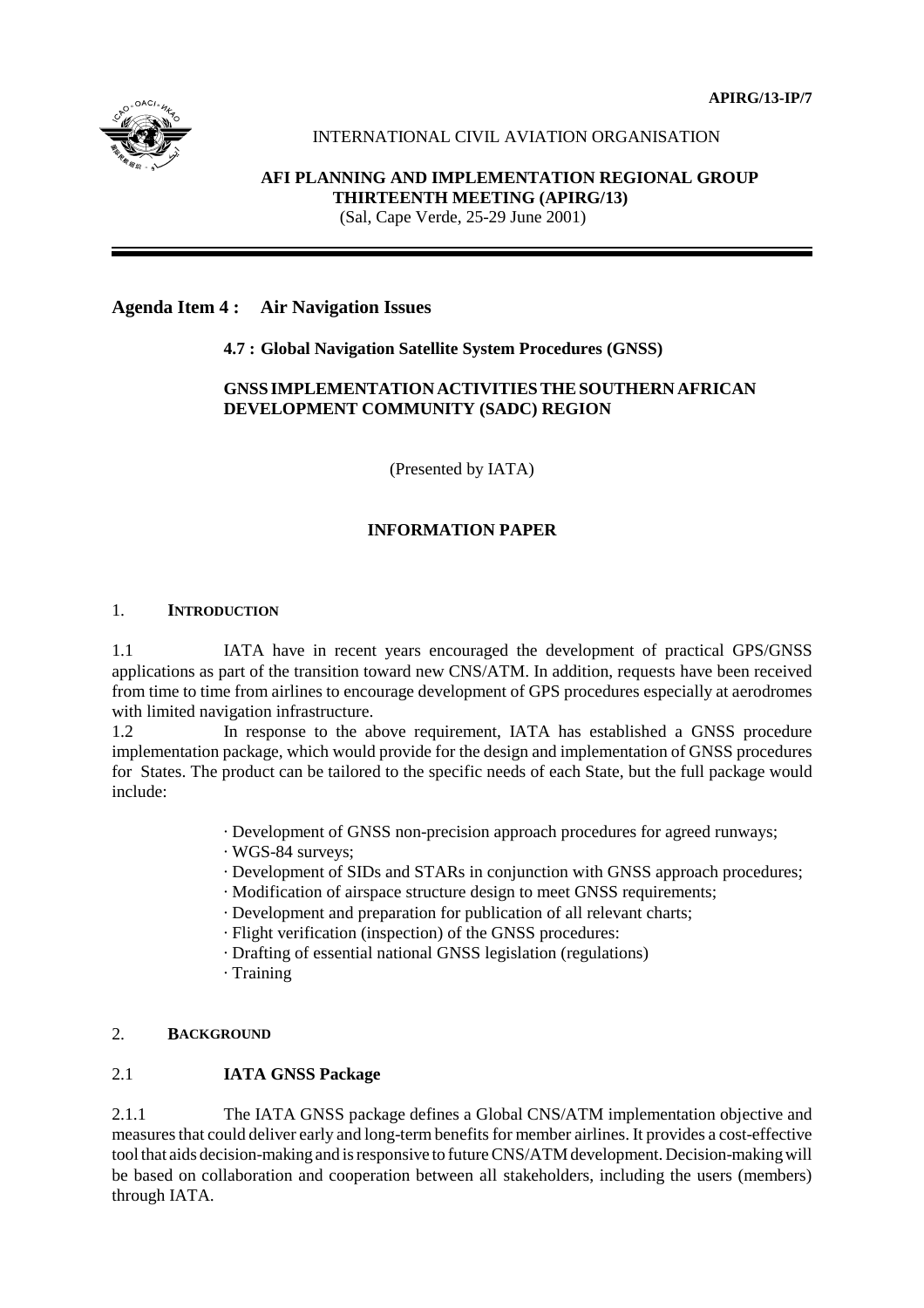**APIRG/13-IP/7**



# INTERNATIONAL CIVIL AVIATION ORGANISATION

# **AFI PLANNING AND IMPLEMENTATION REGIONAL GROUP THIRTEENTH MEETING (APIRG/13)**

(Sal, Cape Verde, 25-29 June 2001)

### **Agenda Item 4 : Air Navigation Issues**

### **4.7 : Global Navigation Satellite System Procedures (GNSS)**

### **GNSS IMPLEMENTATION ACTIVITIES THE SOUTHERN AFRICAN DEVELOPMENT COMMUNITY (SADC) REGION**

(Presented by IATA)

# **INFORMATION PAPER**

### 1. **INTRODUCTION**

1.1 IATA have in recent years encouraged the development of practical GPS/GNSS applications as part of the transition toward new CNS/ATM. In addition, requests have been received from time to time from airlines to encourage development of GPS procedures especially at aerodromes with limited navigation infrastructure.

1.2 In response to the above requirement, IATA has established a GNSS procedure implementation package, which would provide for the design and implementation of GNSS procedures for States. The product can be tailored to the specific needs of each State, but the full package would include:

- · Development of GNSS non-precision approach procedures for agreed runways;
- · WGS-84 surveys;
- · Development of SIDs and STARs in conjunction with GNSS approach procedures;
- · Modification of airspace structure design to meet GNSS requirements;
- · Development and preparation for publication of all relevant charts;
- · Flight verification (inspection) of the GNSS procedures:
- · Drafting of essential national GNSS legislation (regulations)
- · Training

# 2. **BACKGROUND**

# 2.1 **IATA GNSS Package**

2.1.1 The IATA GNSS package defines a Global CNS/ATM implementation objective and measures that could deliver early and long-term benefits for member airlines. It provides a cost-effective tool that aids decision-making and is responsive to future CNS/ATM development. Decision-making will be based on collaboration and cooperation between all stakeholders, including the users (members) through IATA.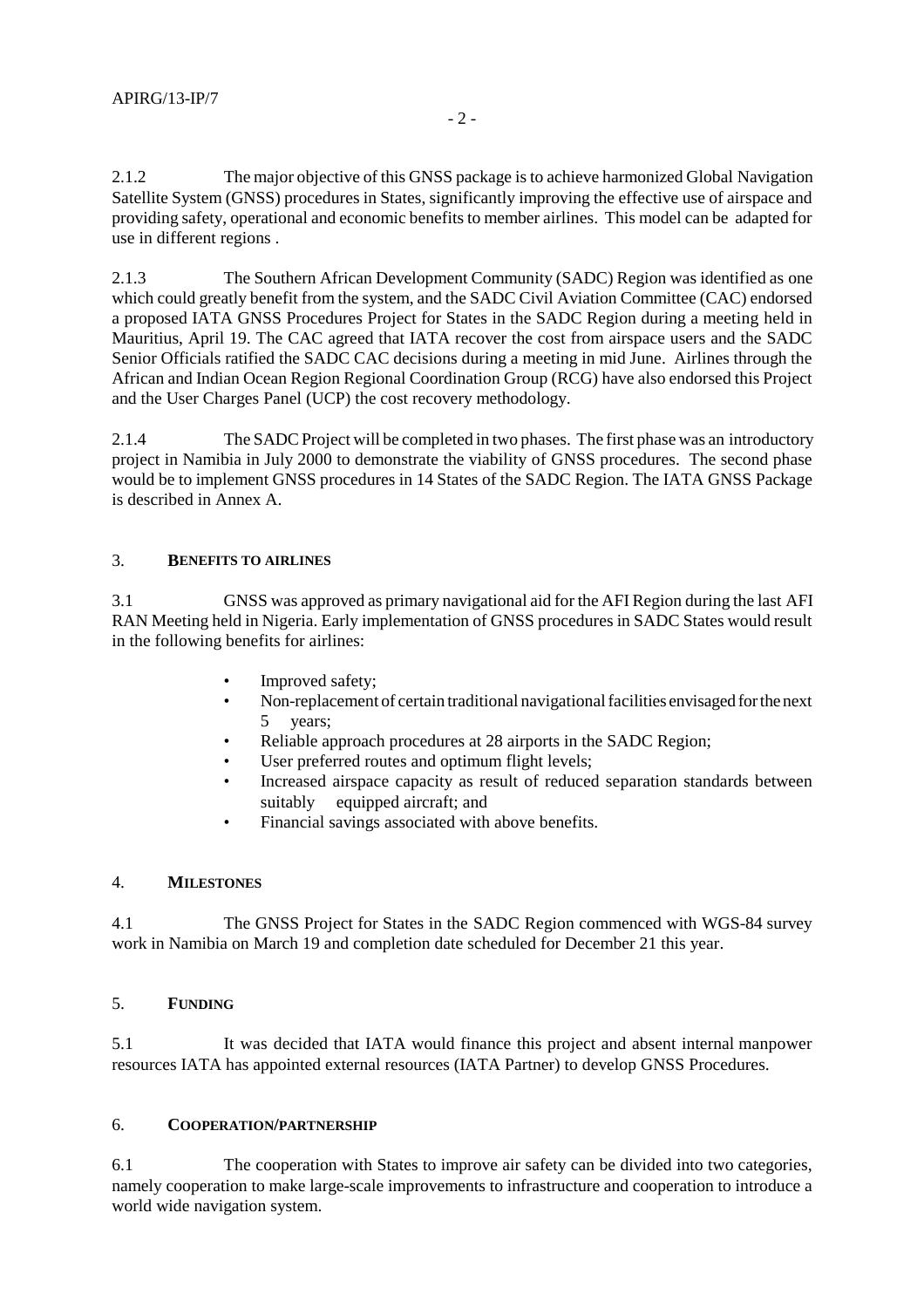2.1.2 The major objective of this GNSS package is to achieve harmonized Global Navigation Satellite System (GNSS) procedures in States, significantly improving the effective use of airspace and providing safety, operational and economic benefits to member airlines. This model can be adapted for use in different regions .

2.1.3 The Southern African Development Community (SADC) Region was identified as one which could greatly benefit from the system, and the SADC Civil Aviation Committee (CAC) endorsed a proposed IATA GNSS Procedures Project for States in the SADC Region during a meeting held in Mauritius, April 19. The CAC agreed that IATA recover the cost from airspace users and the SADC Senior Officials ratified the SADC CAC decisions during a meeting in mid June. Airlines through the African and Indian Ocean Region Regional Coordination Group (RCG) have also endorsed this Project and the User Charges Panel (UCP) the cost recovery methodology.

2.1.4 The SADC Project will be completed in two phases. The first phase was an introductory project in Namibia in July 2000 to demonstrate the viability of GNSS procedures. The second phase would be to implement GNSS procedures in 14 States of the SADC Region. The IATA GNSS Package is described in Annex A.

### 3. **BENEFITS TO AIRLINES**

3.1 GNSS was approved as primary navigational aid for the AFI Region during the last AFI RAN Meeting held in Nigeria. Early implementation of GNSS procedures in SADC States would result in the following benefits for airlines:

- Improved safety;
- Non-replacement of certain traditional navigational facilities envisaged for the next vears;
- Reliable approach procedures at 28 airports in the SADC Region;
- User preferred routes and optimum flight levels;
- Increased airspace capacity as result of reduced separation standards between suitably equipped aircraft; and
- Financial savings associated with above benefits.

### 4. **MILESTONES**

4.1 The GNSS Project for States in the SADC Region commenced with WGS-84 survey work in Namibia on March 19 and completion date scheduled for December 21 this year.

### 5. **FUNDING**

5.1 It was decided that IATA would finance this project and absent internal manpower resources IATA has appointed external resources (IATA Partner) to develop GNSS Procedures.

### 6. **COOPERATION/PARTNERSHIP**

6.1 The cooperation with States to improve air safety can be divided into two categories, namely cooperation to make large-scale improvements to infrastructure and cooperation to introduce a world wide navigation system.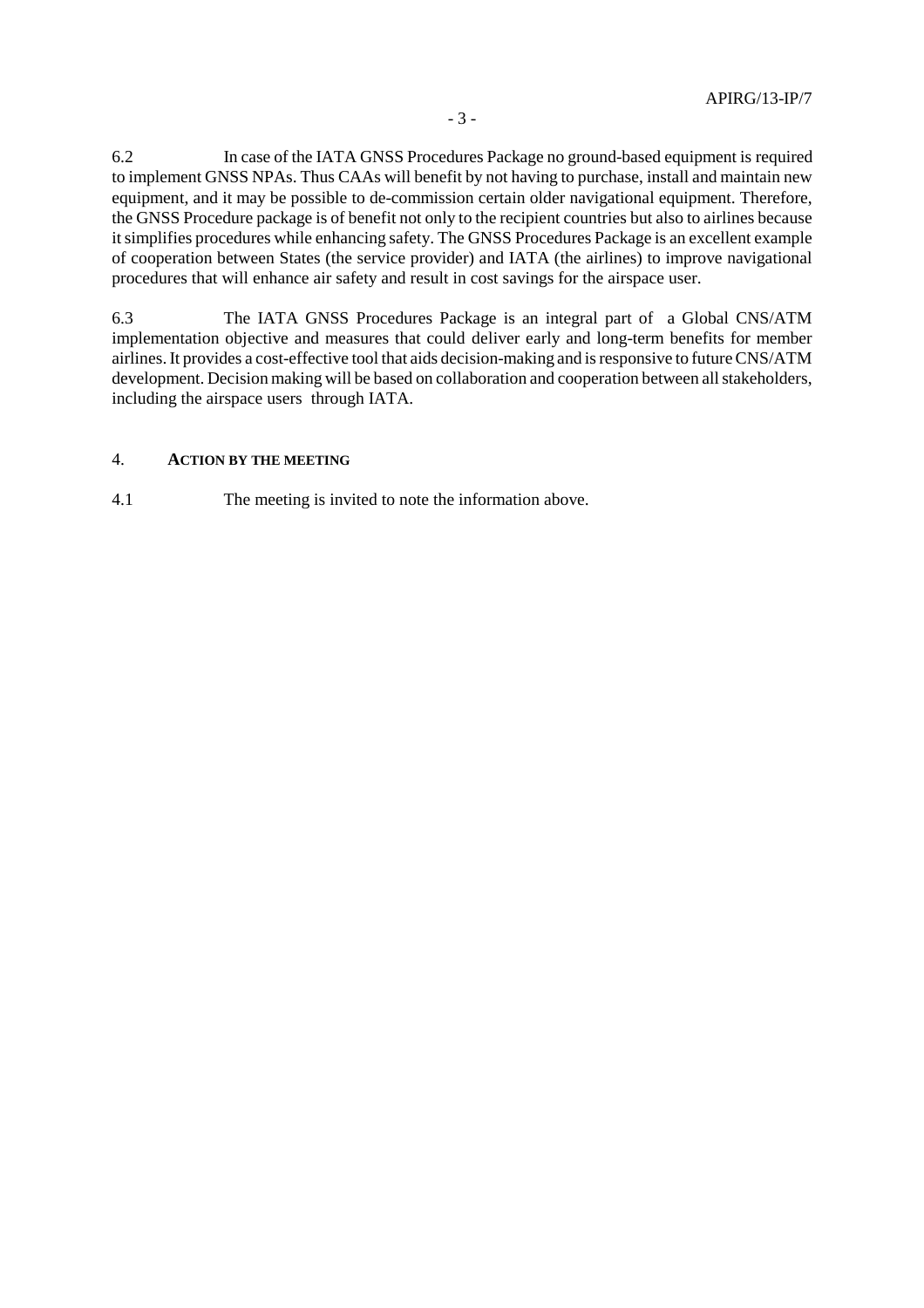6.2 In case of the IATA GNSS Procedures Package no ground-based equipment is required to implement GNSS NPAs. Thus CAAs will benefit by not having to purchase, install and maintain new equipment, and it may be possible to de-commission certain older navigational equipment. Therefore, the GNSS Procedure package is of benefit not only to the recipient countries but also to airlines because it simplifies procedures while enhancing safety. The GNSS Procedures Package is an excellent example of cooperation between States (the service provider) and IATA (the airlines) to improve navigational procedures that will enhance air safety and result in cost savings for the airspace user.

6.3 The IATA GNSS Procedures Package is an integral part of a Global CNS/ATM implementation objective and measures that could deliver early and long-term benefits for member airlines. It provides a cost-effective tool that aids decision-making and is responsive to future CNS/ATM development. Decision making will be based on collaboration and cooperation between all stakeholders, including the airspace users through IATA.

### 4. **ACTION BY THE MEETING**

4.1 The meeting is invited to note the information above.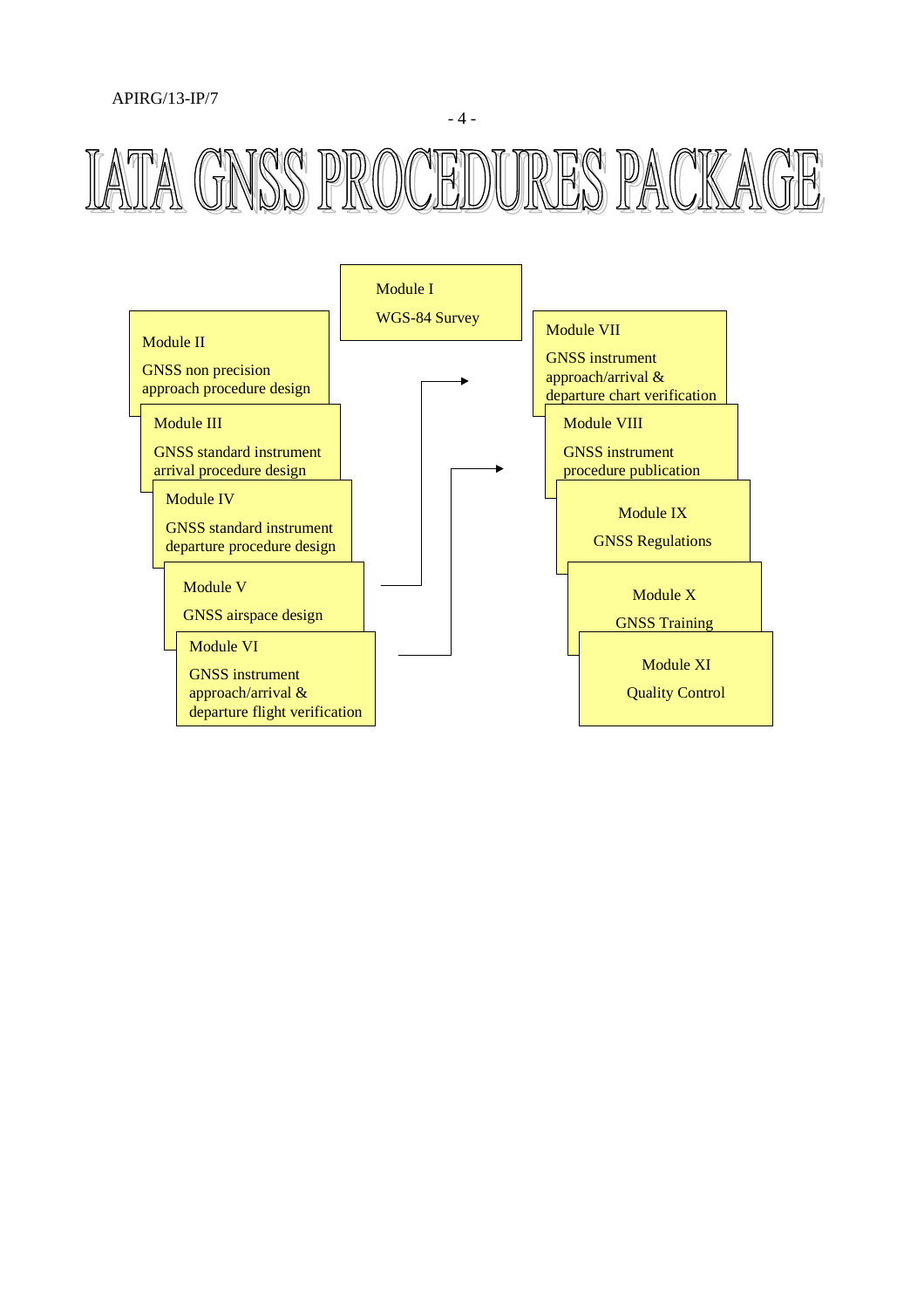### APIRG/13-IP/7





- 4 -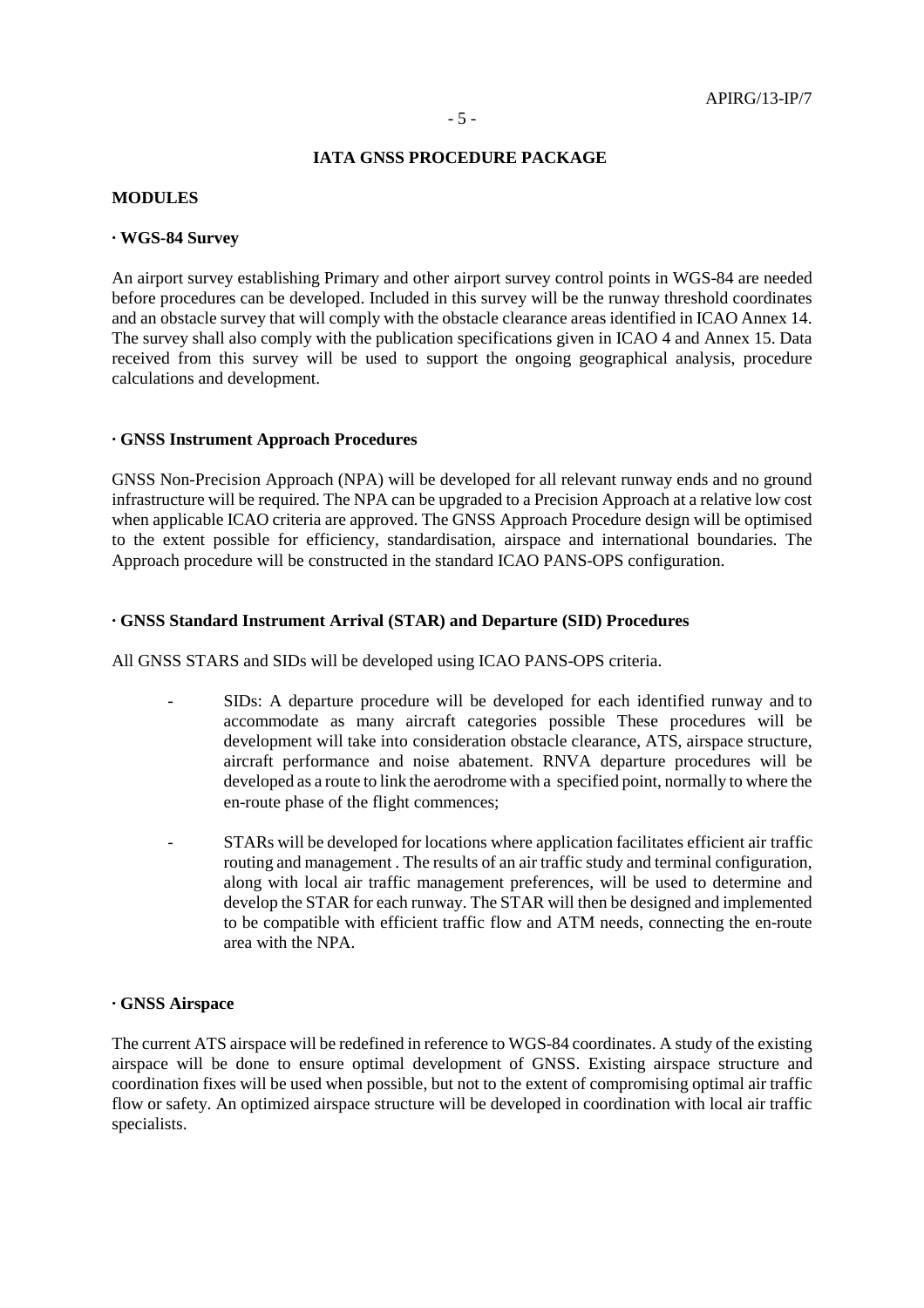#### **IATA GNSS PROCEDURE PACKAGE**

#### **MODULES**

#### **· WGS-84 Survey**

An airport survey establishing Primary and other airport survey control points in WGS-84 are needed before procedures can be developed. Included in this survey will be the runway threshold coordinates and an obstacle survey that will comply with the obstacle clearance areas identified in ICAO Annex 14. The survey shall also comply with the publication specifications given in ICAO 4 and Annex 15. Data received from this survey will be used to support the ongoing geographical analysis, procedure calculations and development.

#### **· GNSS Instrument Approach Procedures**

GNSS Non-Precision Approach (NPA) will be developed for all relevant runway ends and no ground infrastructure will be required. The NPA can be upgraded to a Precision Approach at a relative low cost when applicable ICAO criteria are approved. The GNSS Approach Procedure design will be optimised to the extent possible for efficiency, standardisation, airspace and international boundaries. The Approach procedure will be constructed in the standard ICAO PANS-OPS configuration.

#### **· GNSS Standard Instrument Arrival (STAR) and Departure (SID) Procedures**

All GNSS STARS and SIDs will be developed using ICAO PANS-OPS criteria.

- SIDs: A departure procedure will be developed for each identified runway and to accommodate as many aircraft categories possible These procedures will be development will take into consideration obstacle clearance, ATS, airspace structure, aircraft performance and noise abatement. RNVA departure procedures will be developed as a route to link the aerodrome with a specified point, normally to where the en-route phase of the flight commences;
- STARs will be developed for locations where application facilitates efficient air traffic routing and management . The results of an air traffic study and terminal configuration, along with local air traffic management preferences, will be used to determine and develop the STAR for each runway. The STAR will then be designed and implemented to be compatible with efficient traffic flow and ATM needs, connecting the en-route area with the NPA.

#### **· GNSS Airspace**

The current ATS airspace will be redefined in reference to WGS-84 coordinates. A study of the existing airspace will be done to ensure optimal development of GNSS. Existing airspace structure and coordination fixes will be used when possible, but not to the extent of compromising optimal air traffic flow or safety. An optimized airspace structure will be developed in coordination with local air traffic specialists.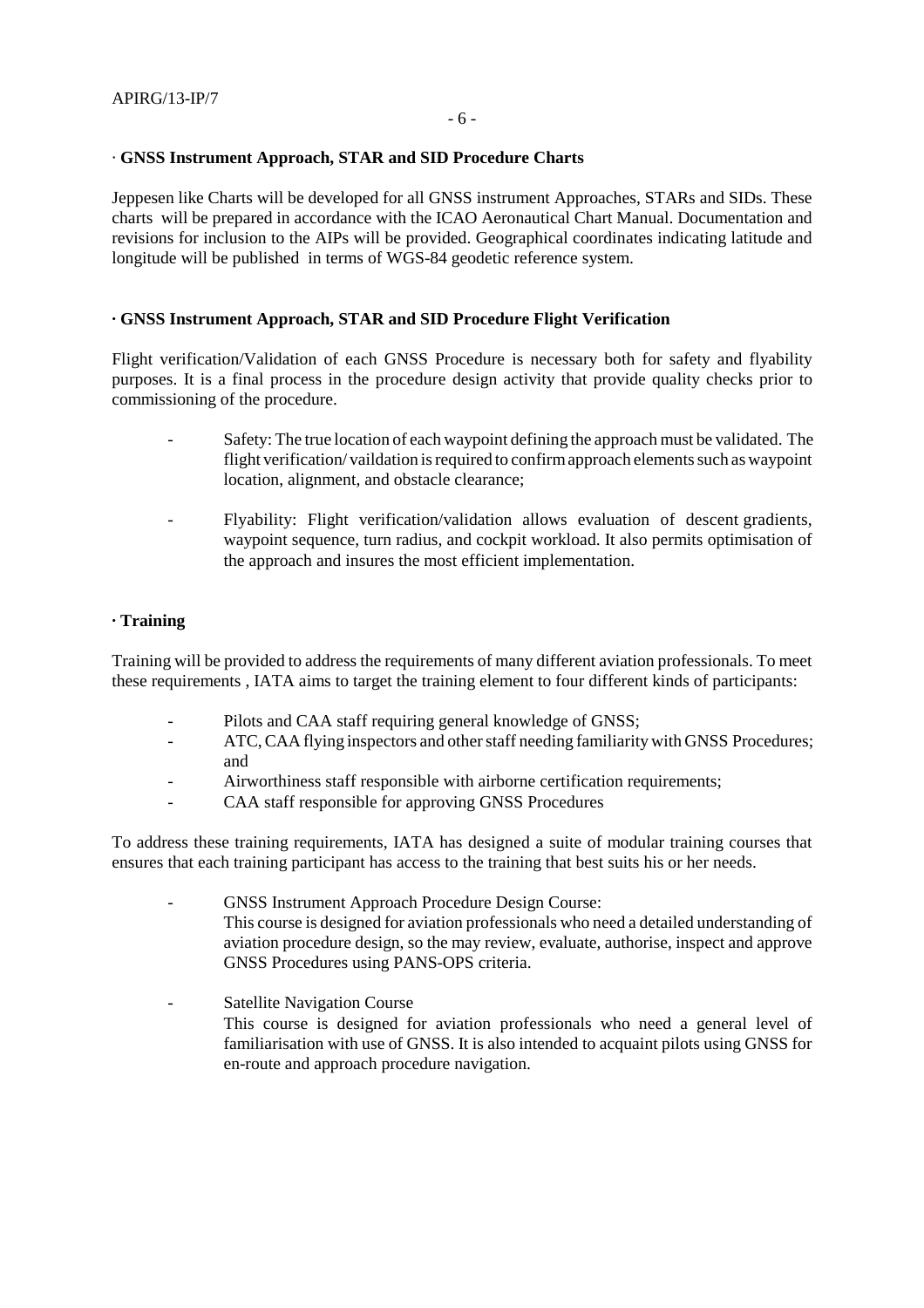#### · **GNSS Instrument Approach, STAR and SID Procedure Charts**

Jeppesen like Charts will be developed for all GNSS instrument Approaches, STARs and SIDs. These charts will be prepared in accordance with the ICAO Aeronautical Chart Manual. Documentation and revisions for inclusion to the AIPs will be provided. Geographical coordinates indicating latitude and longitude will be published in terms of WGS-84 geodetic reference system.

#### **· GNSS Instrument Approach, STAR and SID Procedure Flight Verification**

Flight verification/Validation of each GNSS Procedure is necessary both for safety and flyability purposes. It is a final process in the procedure design activity that provide quality checks prior to commissioning of the procedure.

- Safety: The true location of each waypoint defining the approach must be validated. The flight verification/ vaildation is required to confirm approach elements such as waypoint location, alignment, and obstacle clearance;
- Flyability: Flight verification/validation allows evaluation of descent gradients, waypoint sequence, turn radius, and cockpit workload. It also permits optimisation of the approach and insures the most efficient implementation.

#### **· Training**

Training will be provided to address the requirements of many different aviation professionals. To meet these requirements , IATA aims to target the training element to four different kinds of participants:

- Pilots and CAA staff requiring general knowledge of GNSS;
- ATC, CAA flying inspectors and other staff needing familiarity with GNSS Procedures; and
- Airworthiness staff responsible with airborne certification requirements;
- CAA staff responsible for approving GNSS Procedures

To address these training requirements, IATA has designed a suite of modular training courses that ensures that each training participant has access to the training that best suits his or her needs.

- GNSS Instrument Approach Procedure Design Course: This course is designed for aviation professionals who need a detailed understanding of aviation procedure design, so the may review, evaluate, authorise, inspect and approve GNSS Procedures using PANS-OPS criteria.
- Satellite Navigation Course This course is designed for aviation professionals who need a general level of familiarisation with use of GNSS. It is also intended to acquaint pilots using GNSS for en-route and approach procedure navigation.